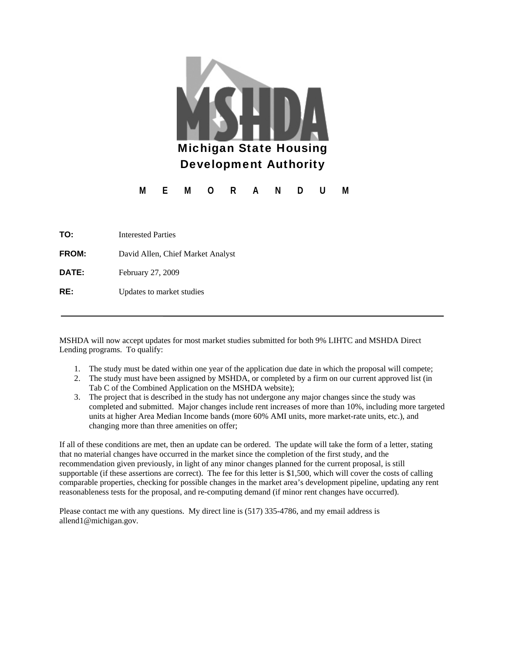

| TO:          | <b>Interested Parties</b>         |  |
|--------------|-----------------------------------|--|
| <b>FROM:</b> | David Allen, Chief Market Analyst |  |
| DATE:        | February 27, 2009                 |  |
| RE:          | Updates to market studies         |  |

MSHDA will now accept updates for most market studies submitted for both 9% LIHTC and MSHDA Direct Lending programs. To qualify:

- 1. The study must be dated within one year of the application due date in which the proposal will compete;
- 2. The study must have been assigned by MSHDA, or completed by a firm on our current approved list (in Tab C of the Combined Application on the MSHDA website);
- 3. The project that is described in the study has not undergone any major changes since the study was completed and submitted. Major changes include rent increases of more than 10%, including more targeted units at higher Area Median Income bands (more 60% AMI units, more market-rate units, etc.), and changing more than three amenities on offer;

If all of these conditions are met, then an update can be ordered. The update will take the form of a letter, stating that no material changes have occurred in the market since the completion of the first study, and the recommendation given previously, in light of any minor changes planned for the current proposal, is still supportable (if these assertions are correct). The fee for this letter is \$1,500, which will cover the costs of calling comparable properties, checking for possible changes in the market area's development pipeline, updating any rent reasonableness tests for the proposal, and re-computing demand (if minor rent changes have occurred).

Please contact me with any questions. My direct line is (517) 335-4786, and my email address is allend1@michigan.gov.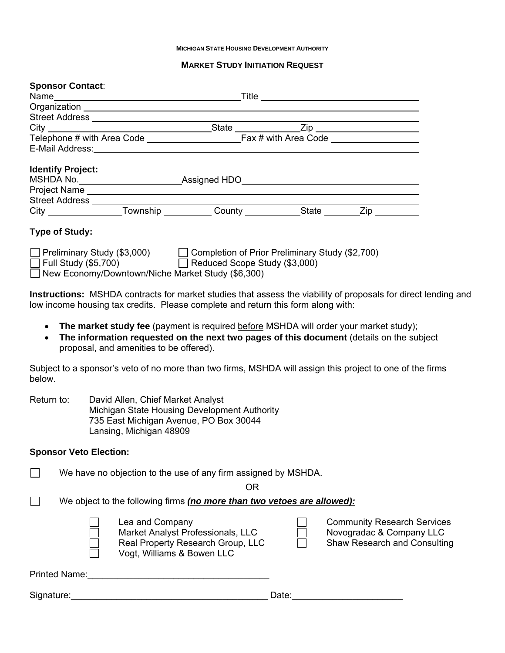#### **MICHIGAN STATE HOUSING DEVELOPMENT AUTHORITY**

#### **MARKET STUDY INITIATION REQUEST**

| <b>Sponsor Contact:</b>                                                                                                                                                                                   |  |  |
|-----------------------------------------------------------------------------------------------------------------------------------------------------------------------------------------------------------|--|--|
|                                                                                                                                                                                                           |  |  |
|                                                                                                                                                                                                           |  |  |
|                                                                                                                                                                                                           |  |  |
|                                                                                                                                                                                                           |  |  |
|                                                                                                                                                                                                           |  |  |
|                                                                                                                                                                                                           |  |  |
| <b>Identify Project:</b>                                                                                                                                                                                  |  |  |
| MSHDA No. ____________________________Assigned HDO_______________________________                                                                                                                         |  |  |
|                                                                                                                                                                                                           |  |  |
|                                                                                                                                                                                                           |  |  |
|                                                                                                                                                                                                           |  |  |
| <b>Type of Study:</b>                                                                                                                                                                                     |  |  |
| □ Preliminary Study (\$3,000) □ Completion of Prior Preliminary Study (\$2,700) □ Reduced Scope Study (\$3,000)<br>New Economy/Downtown/Niche Market Study (\$6,300)                                      |  |  |
| <b>Instructions:</b> MSHDA contracts for market studies that assess the viability of proposals for direct lending and<br>low income housing tax credits. Please complete and return this form along with: |  |  |
| • The market study fee (payment is required before MSHDA will order your market study);                                                                                                                   |  |  |

• The information requested on the next two pages of this document (details on the subject proposal, and amenities to be offered).

Subject to a sponsor's veto of no more than two firms, MSHDA will assign this project to one of the firms below.

| Return to: | David Allen, Chief Market Analyst            |
|------------|----------------------------------------------|
|            | Michigan State Housing Development Authority |
|            | 735 East Michigan Avenue, PO Box 30044       |
|            | Lansing, Michigan 48909                      |

#### **Sponsor Veto Election:**

 $\Box$  We have no objection to the use of any firm assigned by MSHDA.

OR

We object to the following firms *(no more than two vetoes are allowed):*

Market Analyst Professionals, LLC <br>
Novogradac & Company LLC Real Property Research Group, LLC **Shaw Research and Consulting** □ Vogt, Williams & Bowen LLC

| Lea and Company                   | <b>Community Research Services</b>  |
|-----------------------------------|-------------------------------------|
| Market Analyst Professionals, LLC | Novogradac & Company LLC            |
| Real Property Research Group, LLC | <b>Shaw Research and Consulting</b> |

Printed Name:\_\_\_\_\_\_\_\_\_\_\_\_\_\_\_\_\_\_\_\_\_\_\_\_\_\_\_\_\_\_\_\_\_\_\_\_

Signature:\_\_\_\_\_\_\_\_\_\_\_\_\_\_\_\_\_\_\_\_\_\_\_\_\_\_\_\_\_\_\_\_\_\_\_\_\_\_\_ Date:\_\_\_\_\_\_\_\_\_\_\_\_\_\_\_\_\_\_\_\_\_\_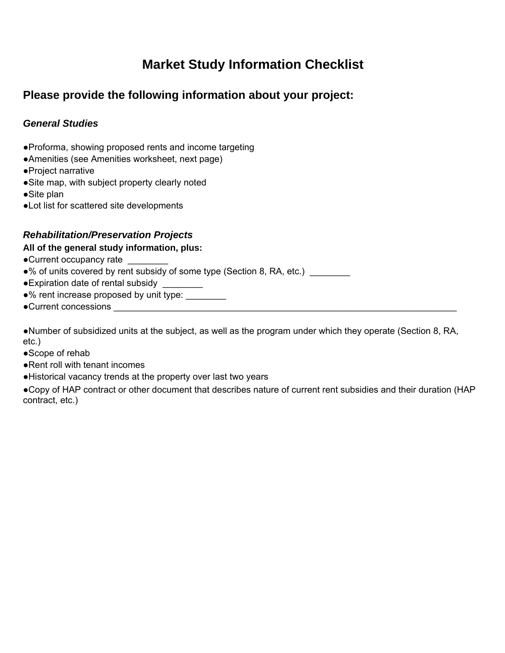# **Market Study Information Checklist**

## **Please provide the following information about your project:**

### *General Studies*

- ●Proforma, showing proposed rents and income targeting
- ●Amenities (see Amenities worksheet, next page)
- ●Project narrative
- ●Site map, with subject property clearly noted
- ●Site plan
- ●Lot list for scattered site developments

### *Rehabilitation/Preservation Projects*

### **All of the general study information, plus:**

- ●Current occupancy rate \_\_\_\_\_\_\_\_
- ●% of units covered by rent subsidy of some type (Section 8, RA, etc.) \_\_\_\_\_\_\_\_
- ●Expiration date of rental subsidy \_\_\_\_\_\_\_\_
- ●% rent increase proposed by unit type: \_\_\_\_\_\_\_\_
- ●Current concessions \_\_\_\_\_\_\_\_\_\_\_\_\_\_\_\_\_\_\_\_\_\_\_\_\_\_\_\_\_\_\_\_\_\_\_\_\_\_\_\_\_\_\_\_\_\_\_\_\_\_\_\_\_\_\_\_\_\_\_\_\_\_\_\_\_\_\_\_

●Number of subsidized units at the subject, as well as the program under which they operate (Section 8, RA, etc.)

- ●Scope of rehab
- ●Rent roll with tenant incomes
- ●Historical vacancy trends at the property over last two years

●Copy of HAP contract or other document that describes nature of current rent subsidies and their duration (HAP contract, etc.)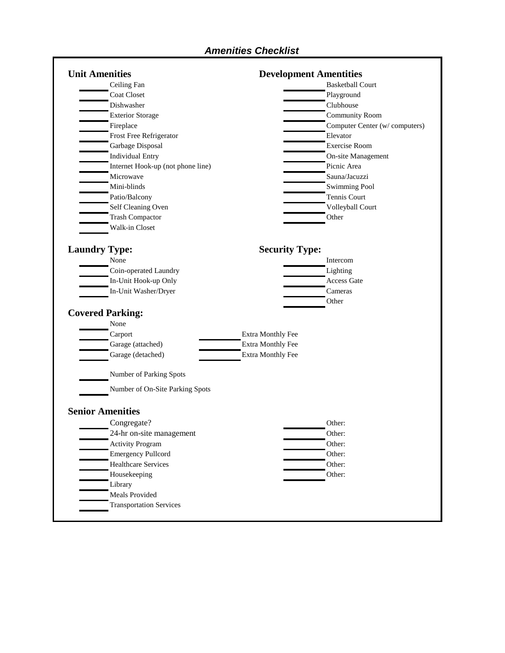### *Amenities Checklist*

| <b>Unit Amenities</b>   |                                   |                          | <b>Development Amentities</b>  |
|-------------------------|-----------------------------------|--------------------------|--------------------------------|
| Ceiling Fan             |                                   |                          | <b>Basketball Court</b>        |
| <b>Coat Closet</b>      |                                   |                          | Playground                     |
| Dishwasher              |                                   |                          | Clubhouse                      |
|                         | <b>Exterior Storage</b>           |                          | <b>Community Room</b>          |
| Fireplace               |                                   |                          | Computer Center (w/ computers) |
|                         | Frost Free Refrigerator           |                          | Elevator                       |
|                         | Garbage Disposal                  |                          | <b>Exercise Room</b>           |
|                         | <b>Individual Entry</b>           |                          | On-site Management             |
|                         | Internet Hook-up (not phone line) |                          | Picnic Area                    |
| Microwave               |                                   |                          | Sauna/Jacuzzi                  |
| Mini-blinds             |                                   |                          | <b>Swimming Pool</b>           |
|                         | Patio/Balcony                     |                          | Tennis Court                   |
|                         | Self Cleaning Oven                |                          | Volleyball Court               |
|                         | <b>Trash Compactor</b>            |                          | Other                          |
|                         | Walk-in Closet                    |                          |                                |
| <b>Laundry Type:</b>    |                                   | <b>Security Type:</b>    |                                |
| None                    |                                   |                          | Intercom                       |
|                         | Coin-operated Laundry             |                          | Lighting                       |
|                         | In-Unit Hook-up Only              |                          | Access Gate                    |
|                         | In-Unit Washer/Dryer              |                          | Cameras                        |
|                         |                                   |                          | Other                          |
| <b>Covered Parking:</b> |                                   |                          |                                |
| None                    |                                   |                          |                                |
| Carport                 |                                   | Extra Monthly Fee        |                                |
|                         | Garage (attached)                 | <b>Extra Monthly Fee</b> |                                |
|                         | Garage (detached)                 | <b>Extra Monthly Fee</b> |                                |
|                         | Number of Parking Spots           |                          |                                |
|                         | Number of On-Site Parking Spots   |                          |                                |
| <b>Senior Amenities</b> |                                   |                          |                                |
|                         | Congregate?                       |                          | Other:                         |
|                         | 24-hr on-site management          |                          | Other:                         |
|                         | <b>Activity Program</b>           |                          | Other:                         |
|                         | <b>Emergency Pullcord</b>         |                          | Other:                         |
|                         | <b>Healthcare Services</b>        |                          | Other:                         |
|                         | Housekeeping                      |                          | Other:                         |
| Library                 |                                   |                          |                                |
|                         | Meals Provided                    |                          |                                |
|                         |                                   |                          |                                |
|                         | <b>Transportation Services</b>    |                          |                                |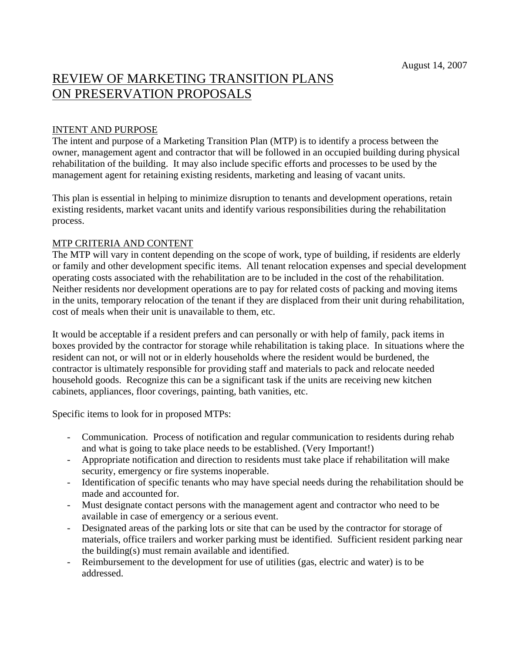# REVIEW OF MARKETING TRANSITION PLANS ON PRESERVATION PROPOSALS

#### INTENT AND PURPOSE

The intent and purpose of a Marketing Transition Plan (MTP) is to identify a process between the owner, management agent and contractor that will be followed in an occupied building during physical rehabilitation of the building. It may also include specific efforts and processes to be used by the management agent for retaining existing residents, marketing and leasing of vacant units.

This plan is essential in helping to minimize disruption to tenants and development operations, retain existing residents, market vacant units and identify various responsibilities during the rehabilitation process.

#### MTP CRITERIA AND CONTENT

The MTP will vary in content depending on the scope of work, type of building, if residents are elderly or family and other development specific items. All tenant relocation expenses and special development operating costs associated with the rehabilitation are to be included in the cost of the rehabilitation. Neither residents nor development operations are to pay for related costs of packing and moving items in the units, temporary relocation of the tenant if they are displaced from their unit during rehabilitation, cost of meals when their unit is unavailable to them, etc.

It would be acceptable if a resident prefers and can personally or with help of family, pack items in boxes provided by the contractor for storage while rehabilitation is taking place. In situations where the resident can not, or will not or in elderly households where the resident would be burdened, the contractor is ultimately responsible for providing staff and materials to pack and relocate needed household goods. Recognize this can be a significant task if the units are receiving new kitchen cabinets, appliances, floor coverings, painting, bath vanities, etc.

Specific items to look for in proposed MTPs:

- Communication. Process of notification and regular communication to residents during rehab and what is going to take place needs to be established. (Very Important!)
- Appropriate notification and direction to residents must take place if rehabilitation will make security, emergency or fire systems inoperable.
- Identification of specific tenants who may have special needs during the rehabilitation should be made and accounted for.
- Must designate contact persons with the management agent and contractor who need to be available in case of emergency or a serious event.
- Designated areas of the parking lots or site that can be used by the contractor for storage of materials, office trailers and worker parking must be identified. Sufficient resident parking near the building(s) must remain available and identified.
- Reimbursement to the development for use of utilities (gas, electric and water) is to be addressed.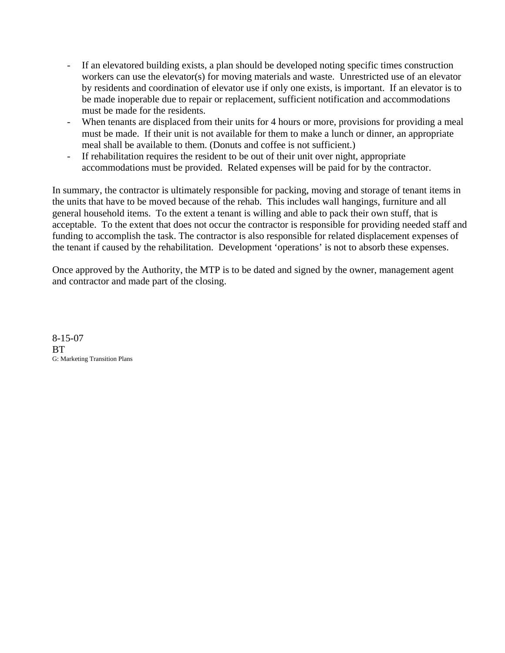- If an elevatored building exists, a plan should be developed noting specific times construction workers can use the elevator(s) for moving materials and waste. Unrestricted use of an elevator by residents and coordination of elevator use if only one exists, is important. If an elevator is to be made inoperable due to repair or replacement, sufficient notification and accommodations must be made for the residents.
- When tenants are displaced from their units for 4 hours or more, provisions for providing a meal must be made. If their unit is not available for them to make a lunch or dinner, an appropriate meal shall be available to them. (Donuts and coffee is not sufficient.)
- If rehabilitation requires the resident to be out of their unit over night, appropriate accommodations must be provided. Related expenses will be paid for by the contractor.

In summary, the contractor is ultimately responsible for packing, moving and storage of tenant items in the units that have to be moved because of the rehab. This includes wall hangings, furniture and all general household items. To the extent a tenant is willing and able to pack their own stuff, that is acceptable. To the extent that does not occur the contractor is responsible for providing needed staff and funding to accomplish the task. The contractor is also responsible for related displacement expenses of the tenant if caused by the rehabilitation. Development 'operations' is not to absorb these expenses.

Once approved by the Authority, the MTP is to be dated and signed by the owner, management agent and contractor and made part of the closing.

8-15-07 BT G: Marketing Transition Plans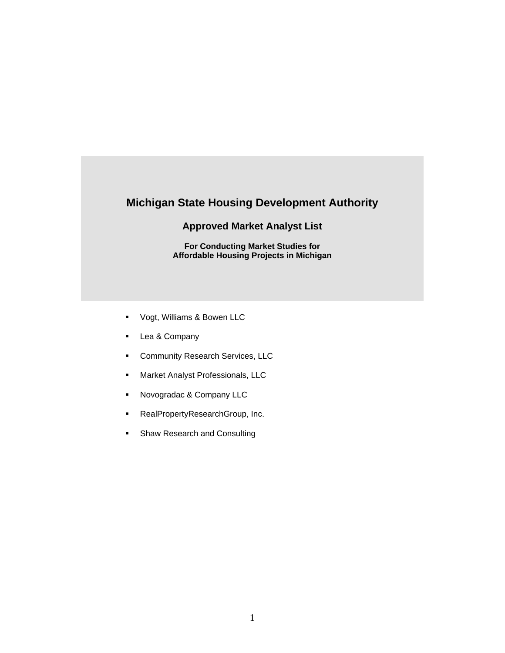### **Michigan State Housing Development Authority**

#### **Approved Market Analyst List**

**For Conducting Market Studies for Affordable Housing Projects in Michigan**

- Vogt, Williams & Bowen LLC
- **Lea & Company**
- **Community Research Services, LLC**
- **Market Analyst Professionals, LLC**
- Novogradac & Company LLC
- RealPropertyResearchGroup, Inc.
- **Shaw Research and Consulting**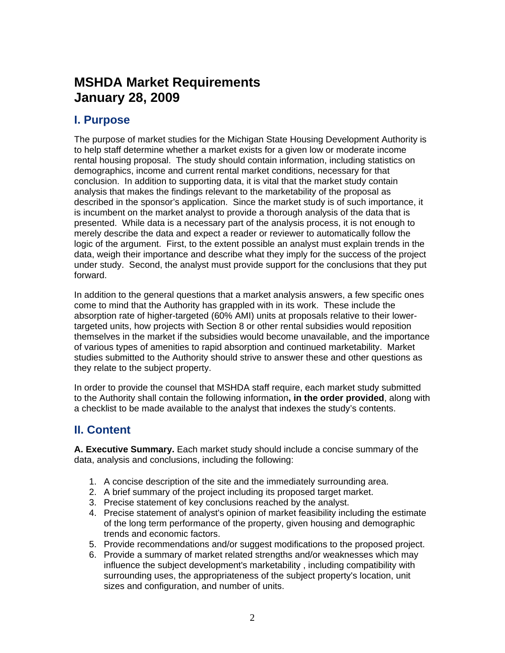# **MSHDA Market Requirements January 28, 2009**

## **I. Purpose**

The purpose of market studies for the Michigan State Housing Development Authority is to help staff determine whether a market exists for a given low or moderate income rental housing proposal. The study should contain information, including statistics on demographics, income and current rental market conditions, necessary for that conclusion. In addition to supporting data, it is vital that the market study contain analysis that makes the findings relevant to the marketability of the proposal as described in the sponsor's application. Since the market study is of such importance, it is incumbent on the market analyst to provide a thorough analysis of the data that is presented. While data is a necessary part of the analysis process, it is not enough to merely describe the data and expect a reader or reviewer to automatically follow the logic of the argument. First, to the extent possible an analyst must explain trends in the data, weigh their importance and describe what they imply for the success of the project under study. Second, the analyst must provide support for the conclusions that they put forward.

In addition to the general questions that a market analysis answers, a few specific ones come to mind that the Authority has grappled with in its work. These include the absorption rate of higher-targeted (60% AMI) units at proposals relative to their lowertargeted units, how projects with Section 8 or other rental subsidies would reposition themselves in the market if the subsidies would become unavailable, and the importance of various types of amenities to rapid absorption and continued marketability. Market studies submitted to the Authority should strive to answer these and other questions as they relate to the subject property.

In order to provide the counsel that MSHDA staff require, each market study submitted to the Authority shall contain the following information**, in the order provided**, along with a checklist to be made available to the analyst that indexes the study's contents.

## **II. Content**

**A. Executive Summary.** Each market study should include a concise summary of the data, analysis and conclusions, including the following:

- 1. A concise description of the site and the immediately surrounding area.
- 2. A brief summary of the project including its proposed target market.
- 3. Precise statement of key conclusions reached by the analyst.
- 4. Precise statement of analyst's opinion of market feasibility including the estimate of the long term performance of the property, given housing and demographic trends and economic factors.
- 5. Provide recommendations and/or suggest modifications to the proposed project.
- 6. Provide a summary of market related strengths and/or weaknesses which may influence the subject development's marketability , including compatibility with surrounding uses, the appropriateness of the subject property's location, unit sizes and configuration, and number of units.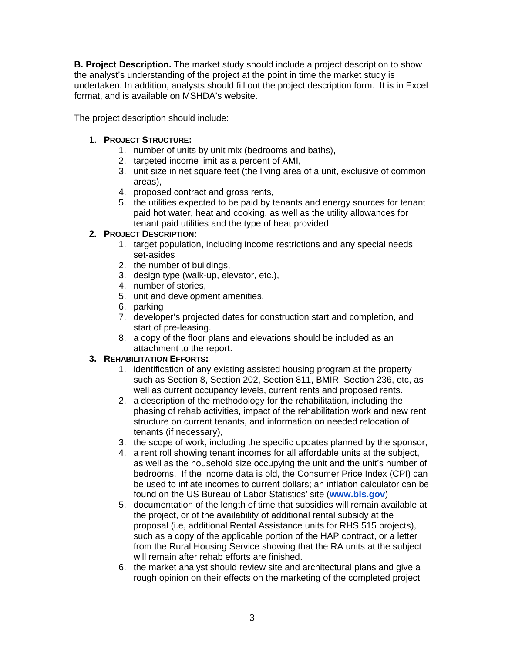**B. Project Description.** The market study should include a project description to show the analyst's understanding of the project at the point in time the market study is undertaken. In addition, analysts should fill out the project description form. It is in Excel format, and is available on MSHDA's website.

The project description should include:

#### 1. **PROJECT STRUCTURE:**

- 1. number of units by unit mix (bedrooms and baths),
- 2. targeted income limit as a percent of AMI,
- 3. unit size in net square feet (the living area of a unit, exclusive of common areas),
- 4. proposed contract and gross rents,
- 5. the utilities expected to be paid by tenants and energy sources for tenant paid hot water, heat and cooking, as well as the utility allowances for tenant paid utilities and the type of heat provided

#### **2. PROJECT DESCRIPTION:**

- 1. target population, including income restrictions and any special needs set-asides
- 2. the number of buildings,
- 3. design type (walk-up, elevator, etc.),
- 4. number of stories,
- 5. unit and development amenities,
- 6. parking
- 7. developer's projected dates for construction start and completion, and start of pre-leasing.
- 8. a copy of the floor plans and elevations should be included as an attachment to the report.

#### **3. REHABILITATION EFFORTS:**

- 1. identification of any existing assisted housing program at the property such as Section 8, Section 202, Section 811, BMIR, Section 236, etc, as well as current occupancy levels, current rents and proposed rents.
- 2. a description of the methodology for the rehabilitation, including the phasing of rehab activities, impact of the rehabilitation work and new rent structure on current tenants, and information on needed relocation of tenants (if necessary),
- 3. the scope of work, including the specific updates planned by the sponsor,
- 4. a rent roll showing tenant incomes for all affordable units at the subject, as well as the household size occupying the unit and the unit's number of bedrooms. If the income data is old, the Consumer Price Index (CPI) can be used to inflate incomes to current dollars; an inflation calculator can be found on the US Bureau of Labor Statistics' site (**[www.bls.gov](http://www.bls.gov/)**)
- 5. documentation of the length of time that subsidies will remain available at the project, or of the availability of additional rental subsidy at the proposal (i.e, additional Rental Assistance units for RHS 515 projects), such as a copy of the applicable portion of the HAP contract, or a letter from the Rural Housing Service showing that the RA units at the subject will remain after rehab efforts are finished.
- 6. the market analyst should review site and architectural plans and give a rough opinion on their effects on the marketing of the completed project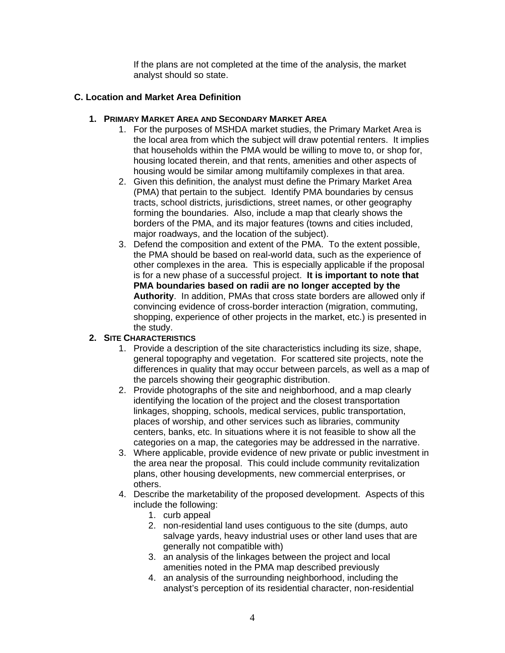If the plans are not completed at the time of the analysis, the market analyst should so state.

#### **C. Location and Market Area Definition**

#### **1. PRIMARY MARKET AREA AND SECONDARY MARKET AREA**

- 1. For the purposes of MSHDA market studies, the Primary Market Area is the local area from which the subject will draw potential renters. It implies that households within the PMA would be willing to move to, or shop for, housing located therein, and that rents, amenities and other aspects of housing would be similar among multifamily complexes in that area.
- 2. Given this definition, the analyst must define the Primary Market Area (PMA) that pertain to the subject. Identify PMA boundaries by census tracts, school districts, jurisdictions, street names, or other geography forming the boundaries. Also, include a map that clearly shows the borders of the PMA, and its major features (towns and cities included, major roadways, and the location of the subject).
- 3. Defend the composition and extent of the PMA. To the extent possible, the PMA should be based on real-world data, such as the experience of other complexes in the area. This is especially applicable if the proposal is for a new phase of a successful project. **It is important to note that PMA boundaries based on radii are no longer accepted by the Authority**. In addition, PMAs that cross state borders are allowed only if convincing evidence of cross-border interaction (migration, commuting, shopping, experience of other projects in the market, etc.) is presented in the study.

#### **2. SITE CHARACTERISTICS**

- 1. Provide a description of the site characteristics including its size, shape, general topography and vegetation. For scattered site projects, note the differences in quality that may occur between parcels, as well as a map of the parcels showing their geographic distribution.
- 2. Provide photographs of the site and neighborhood, and a map clearly identifying the location of the project and the closest transportation linkages, shopping, schools, medical services, public transportation, places of worship, and other services such as libraries, community centers, banks, etc. In situations where it is not feasible to show all the categories on a map, the categories may be addressed in the narrative.
- 3. Where applicable, provide evidence of new private or public investment in the area near the proposal. This could include community revitalization plans, other housing developments, new commercial enterprises, or others.
- 4. Describe the marketability of the proposed development. Aspects of this include the following:
	- 1. curb appeal
	- 2. non-residential land uses contiguous to the site (dumps, auto salvage yards, heavy industrial uses or other land uses that are generally not compatible with)
	- 3. an analysis of the linkages between the project and local amenities noted in the PMA map described previously
	- 4. an analysis of the surrounding neighborhood, including the analyst's perception of its residential character, non-residential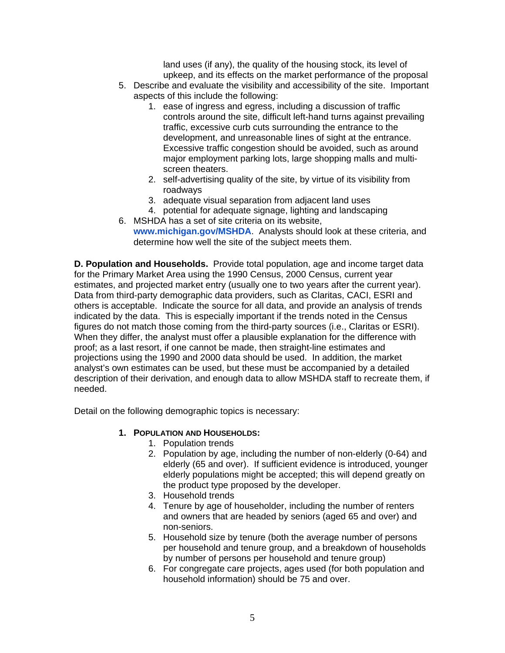land uses (if any), the quality of the housing stock, its level of upkeep, and its effects on the market performance of the proposal

- 5. Describe and evaluate the visibility and accessibility of the site. Important aspects of this include the following:
	- 1. ease of ingress and egress, including a discussion of traffic controls around the site, difficult left-hand turns against prevailing traffic, excessive curb cuts surrounding the entrance to the development, and unreasonable lines of sight at the entrance. Excessive traffic congestion should be avoided, such as around major employment parking lots, large shopping malls and multiscreen theaters.
	- 2. self-advertising quality of the site, by virtue of its visibility from roadways
	- 3. adequate visual separation from adjacent land uses
	- 4. potential for adequate signage, lighting and landscaping
- 6. MSHDA has a set of site criteria on its website, **[www.michigan.gov/MSHDA](http://www.michigan.gov/MSHDA)**. Analysts should look at these criteria, and determine how well the site of the subject meets them.

**D. Population and Households.** Provide total population, age and income target data for the Primary Market Area using the 1990 Census, 2000 Census, current year estimates, and projected market entry (usually one to two years after the current year). Data from third-party demographic data providers, such as Claritas, CACI, ESRI and others is acceptable. Indicate the source for all data, and provide an analysis of trends indicated by the data. This is especially important if the trends noted in the Census figures do not match those coming from the third-party sources (i.e., Claritas or ESRI). When they differ, the analyst must offer a plausible explanation for the difference with proof; as a last resort, if one cannot be made, then straight-line estimates and projections using the 1990 and 2000 data should be used. In addition, the market analyst's own estimates can be used, but these must be accompanied by a detailed description of their derivation, and enough data to allow MSHDA staff to recreate them, if needed.

Detail on the following demographic topics is necessary:

#### **1. POPULATION AND HOUSEHOLDS:**

- 1. Population trends
- 2. Population by age, including the number of non-elderly (0-64) and elderly (65 and over). If sufficient evidence is introduced, younger elderly populations might be accepted; this will depend greatly on the product type proposed by the developer.
- 3. Household trends
- 4. Tenure by age of householder, including the number of renters and owners that are headed by seniors (aged 65 and over) and non-seniors.
- 5. Household size by tenure (both the average number of persons per household and tenure group, and a breakdown of households by number of persons per household and tenure group)
- 6. For congregate care projects, ages used (for both population and household information) should be 75 and over.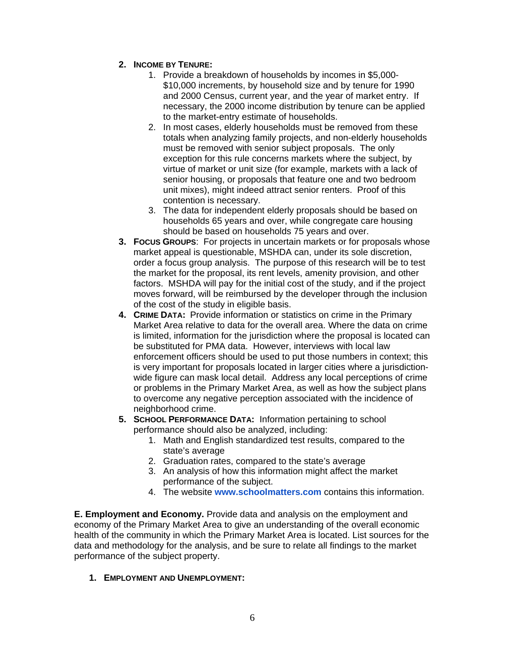#### **2. INCOME BY TENURE:**

- 1. Provide a breakdown of households by incomes in \$5,000- \$10,000 increments, by household size and by tenure for 1990 and 2000 Census, current year, and the year of market entry. If necessary, the 2000 income distribution by tenure can be applied to the market-entry estimate of households.
- 2. In most cases, elderly households must be removed from these totals when analyzing family projects, and non-elderly households must be removed with senior subject proposals. The only exception for this rule concerns markets where the subject, by virtue of market or unit size (for example, markets with a lack of senior housing, or proposals that feature one and two bedroom unit mixes), might indeed attract senior renters. Proof of this contention is necessary.
- 3. The data for independent elderly proposals should be based on households 65 years and over, while congregate care housing should be based on households 75 years and over.
- **3. FOCUS GROUPS**: For projects in uncertain markets or for proposals whose market appeal is questionable, MSHDA can, under its sole discretion, order a focus group analysis. The purpose of this research will be to test the market for the proposal, its rent levels, amenity provision, and other factors. MSHDA will pay for the initial cost of the study, and if the project moves forward, will be reimbursed by the developer through the inclusion of the cost of the study in eligible basis.
- **4. CRIME DATA:** Provide information or statistics on crime in the Primary Market Area relative to data for the overall area. Where the data on crime is limited, information for the jurisdiction where the proposal is located can be substituted for PMA data. However, interviews with local law enforcement officers should be used to put those numbers in context; this is very important for proposals located in larger cities where a jurisdictionwide figure can mask local detail. Address any local perceptions of crime or problems in the Primary Market Area, as well as how the subject plans to overcome any negative perception associated with the incidence of neighborhood crime.
- **5. SCHOOL PERFORMANCE DATA:** Information pertaining to school performance should also be analyzed, including:
	- 1. Math and English standardized test results, compared to the state's average
	- 2. Graduation rates, compared to the state's average
	- 3. An analysis of how this information might affect the market performance of the subject.
	- 4. The website **[www.schoolmatters.com](http://www.schoolmatters.com/)** contains this information.

**E. Employment and Economy.** Provide data and analysis on the employment and economy of the Primary Market Area to give an understanding of the overall economic health of the community in which the Primary Market Area is located. List sources for the data and methodology for the analysis, and be sure to relate all findings to the market performance of the subject property.

#### **1. EMPLOYMENT AND UNEMPLOYMENT:**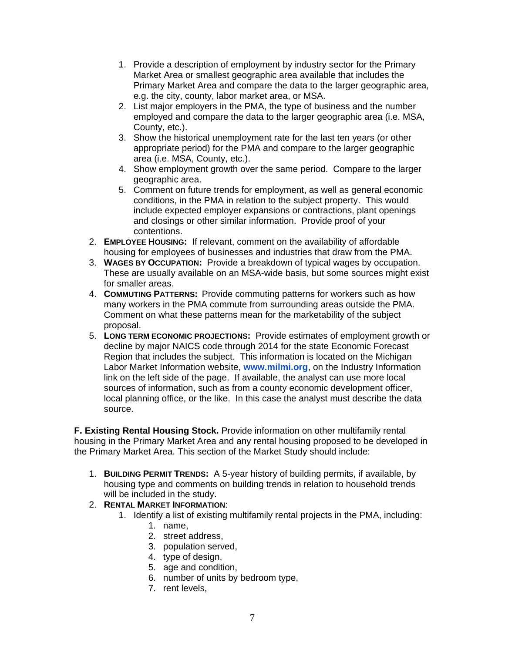- 1. Provide a description of employment by industry sector for the Primary Market Area or smallest geographic area available that includes the Primary Market Area and compare the data to the larger geographic area, e.g. the city, county, labor market area, or MSA.
- 2. List major employers in the PMA, the type of business and the number employed and compare the data to the larger geographic area (i.e. MSA, County, etc.).
- 3. Show the historical unemployment rate for the last ten years (or other appropriate period) for the PMA and compare to the larger geographic area (i.e. MSA, County, etc.).
- 4. Show employment growth over the same period. Compare to the larger geographic area.
- 5. Comment on future trends for employment, as well as general economic conditions, in the PMA in relation to the subject property. This would include expected employer expansions or contractions, plant openings and closings or other similar information. Provide proof of your contentions.
- 2. **EMPLOYEE HOUSING:** If relevant, comment on the availability of affordable housing for employees of businesses and industries that draw from the PMA.
- 3. **WAGES BY OCCUPATION:** Provide a breakdown of typical wages by occupation. These are usually available on an MSA-wide basis, but some sources might exist for smaller areas.
- 4. **COMMUTING PATTERNS:** Provide commuting patterns for workers such as how many workers in the PMA commute from surrounding areas outside the PMA. Comment on what these patterns mean for the marketability of the subject proposal.
- 5. **LONG TERM ECONOMIC PROJECTIONS:** Provide estimates of employment growth or decline by major NAICS code through 2014 for the state Economic Forecast Region that includes the subject. This information is located on the Michigan Labor Market Information website, **[www.milmi.org](http://www.milmi.org/)**, on the Industry Information link on the left side of the page. If available, the analyst can use more local sources of information, such as from a county economic development officer, local planning office, or the like. In this case the analyst must describe the data source.

**F. Existing Rental Housing Stock.** Provide information on other multifamily rental housing in the Primary Market Area and any rental housing proposed to be developed in the Primary Market Area. This section of the Market Study should include:

- 1. **BUILDING PERMIT TRENDS:** A 5-year history of building permits, if available, by housing type and comments on building trends in relation to household trends will be included in the study.
- 2. **RENTAL MARKET INFORMATION**:
	- 1. Identify a list of existing multifamily rental projects in the PMA, including:
		- 1. name,
		- 2. street address,
		- 3. population served,
		- 4. type of design,
		- 5. age and condition,
		- 6. number of units by bedroom type,
		- 7. rent levels,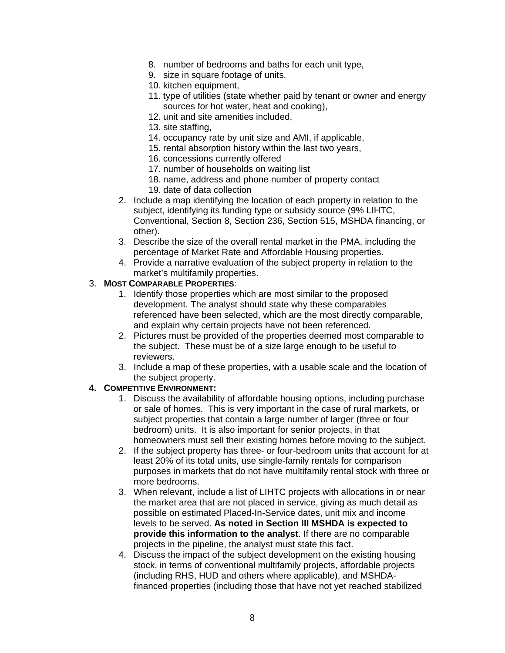- 8. number of bedrooms and baths for each unit type,
- 9. size in square footage of units,
- 10. kitchen equipment,
- 11. type of utilities (state whether paid by tenant or owner and energy sources for hot water, heat and cooking),
- 12. unit and site amenities included,
- 13. site staffing,
- 14. occupancy rate by unit size and AMI, if applicable,
- 15. rental absorption history within the last two years,
- 16. concessions currently offered
- 17. number of households on waiting list
- 18. name, address and phone number of property contact
- 19. date of data collection
- 2. Include a map identifying the location of each property in relation to the subject, identifying its funding type or subsidy source (9% LIHTC, Conventional, Section 8, Section 236, Section 515, MSHDA financing, or other).
- 3. Describe the size of the overall rental market in the PMA, including the percentage of Market Rate and Affordable Housing properties.
- 4. Provide a narrative evaluation of the subject property in relation to the market's multifamily properties.

#### 3. **MOST COMPARABLE PROPERTIES**:

- 1. Identify those properties which are most similar to the proposed development. The analyst should state why these comparables referenced have been selected, which are the most directly comparable, and explain why certain projects have not been referenced.
- 2. Pictures must be provided of the properties deemed most comparable to the subject. These must be of a size large enough to be useful to reviewers.
- 3. Include a map of these properties, with a usable scale and the location of the subject property.

#### **4. COMPETITIVE ENVIRONMENT:**

- 1. Discuss the availability of affordable housing options, including purchase or sale of homes. This is very important in the case of rural markets, or subject properties that contain a large number of larger (three or four bedroom) units. It is also important for senior projects, in that homeowners must sell their existing homes before moving to the subject.
- 2. If the subject property has three- or four-bedroom units that account for at least 20% of its total units, use single-family rentals for comparison purposes in markets that do not have multifamily rental stock with three or more bedrooms.
- 3. When relevant, include a list of LIHTC projects with allocations in or near the market area that are not placed in service, giving as much detail as possible on estimated Placed-In-Service dates, unit mix and income levels to be served. **As noted in Section III MSHDA is expected to provide this information to the analyst**. If there are no comparable projects in the pipeline, the analyst must state this fact.
- 4. Discuss the impact of the subject development on the existing housing stock, in terms of conventional multifamily projects, affordable projects (including RHS, HUD and others where applicable), and MSHDAfinanced properties (including those that have not yet reached stabilized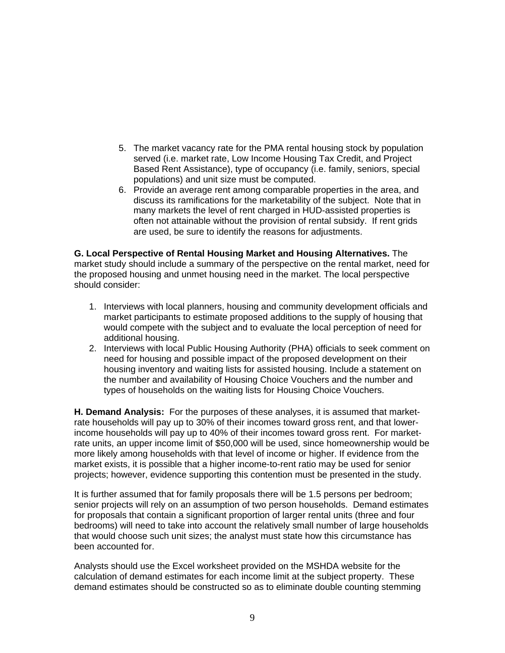- 5. The market vacancy rate for the PMA rental housing stock by population served (i.e. market rate, Low Income Housing Tax Credit, and Project Based Rent Assistance), type of occupancy (i.e. family, seniors, special populations) and unit size must be computed.
- 6. Provide an average rent among comparable properties in the area, and discuss its ramifications for the marketability of the subject. Note that in many markets the level of rent charged in HUD-assisted properties is often not attainable without the provision of rental subsidy. If rent grids are used, be sure to identify the reasons for adjustments.

**G. Local Perspective of Rental Housing Market and Housing Alternatives.** The market study should include a summary of the perspective on the rental market, need for the proposed housing and unmet housing need in the market. The local perspective should consider:

- 1. Interviews with local planners, housing and community development officials and market participants to estimate proposed additions to the supply of housing that would compete with the subject and to evaluate the local perception of need for additional housing.
- 2. Interviews with local Public Housing Authority (PHA) officials to seek comment on need for housing and possible impact of the proposed development on their housing inventory and waiting lists for assisted housing. Include a statement on the number and availability of Housing Choice Vouchers and the number and types of households on the waiting lists for Housing Choice Vouchers.

**H. Demand Analysis:** For the purposes of these analyses, it is assumed that marketrate households will pay up to 30% of their incomes toward gross rent, and that lowerincome households will pay up to 40% of their incomes toward gross rent. For marketrate units, an upper income limit of \$50,000 will be used, since homeownership would be more likely among households with that level of income or higher. If evidence from the market exists, it is possible that a higher income-to-rent ratio may be used for senior projects; however, evidence supporting this contention must be presented in the study.

It is further assumed that for family proposals there will be 1.5 persons per bedroom; senior projects will rely on an assumption of two person households. Demand estimates for proposals that contain a significant proportion of larger rental units (three and four bedrooms) will need to take into account the relatively small number of large households that would choose such unit sizes; the analyst must state how this circumstance has been accounted for.

Analysts should use the Excel worksheet provided on the MSHDA website for the calculation of demand estimates for each income limit at the subject property. These demand estimates should be constructed so as to eliminate double counting stemming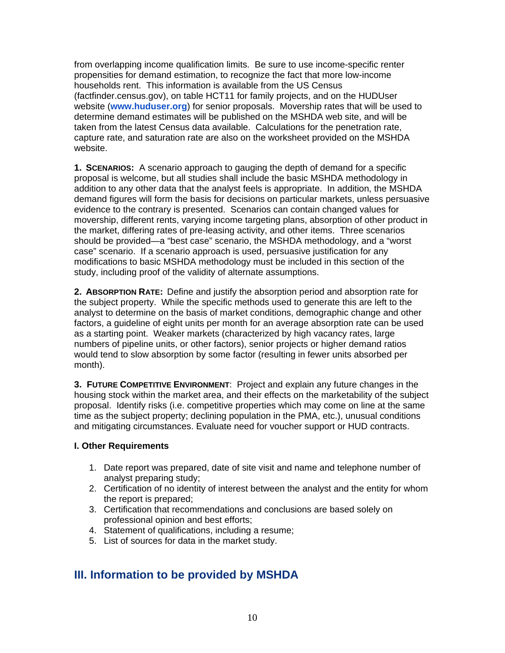from overlapping income qualification limits. Be sure to use income-specific renter propensities for demand estimation, to recognize the fact that more low-income households rent. This information is available from the US Census (factfinder.census.gov), on table HCT11 for family projects, and on the HUDUser website (**[www.huduser.org](http://www.huduser.org/)**) for senior proposals. Movership rates that will be used to determine demand estimates will be published on the MSHDA web site, and will be taken from the latest Census data available. Calculations for the penetration rate, capture rate, and saturation rate are also on the worksheet provided on the MSHDA website.

**1. SCENARIOS:** A scenario approach to gauging the depth of demand for a specific proposal is welcome, but all studies shall include the basic MSHDA methodology in addition to any other data that the analyst feels is appropriate. In addition, the MSHDA demand figures will form the basis for decisions on particular markets, unless persuasive evidence to the contrary is presented. Scenarios can contain changed values for movership, different rents, varying income targeting plans, absorption of other product in the market, differing rates of pre-leasing activity, and other items. Three scenarios should be provided—a "best case" scenario, the MSHDA methodology, and a "worst case" scenario. If a scenario approach is used, persuasive justification for any modifications to basic MSHDA methodology must be included in this section of the study, including proof of the validity of alternate assumptions.

**2. ABSORPTION RATE:** Define and justify the absorption period and absorption rate for the subject property. While the specific methods used to generate this are left to the analyst to determine on the basis of market conditions, demographic change and other factors, a guideline of eight units per month for an average absorption rate can be used as a starting point. Weaker markets (characterized by high vacancy rates, large numbers of pipeline units, or other factors), senior projects or higher demand ratios would tend to slow absorption by some factor (resulting in fewer units absorbed per month).

**3. FUTURE COMPETITIVE ENVIRONMENT**: Project and explain any future changes in the housing stock within the market area, and their effects on the marketability of the subject proposal. Identify risks (i.e. competitive properties which may come on line at the same time as the subject property; declining population in the PMA, etc.), unusual conditions and mitigating circumstances. Evaluate need for voucher support or HUD contracts.

#### **I. Other Requirements**

- 1. Date report was prepared, date of site visit and name and telephone number of analyst preparing study;
- 2. Certification of no identity of interest between the analyst and the entity for whom the report is prepared;
- 3. Certification that recommendations and conclusions are based solely on professional opinion and best efforts;
- 4. Statement of qualifications, including a resume;
- 5. List of sources for data in the market study.

### **III. Information to be provided by MSHDA**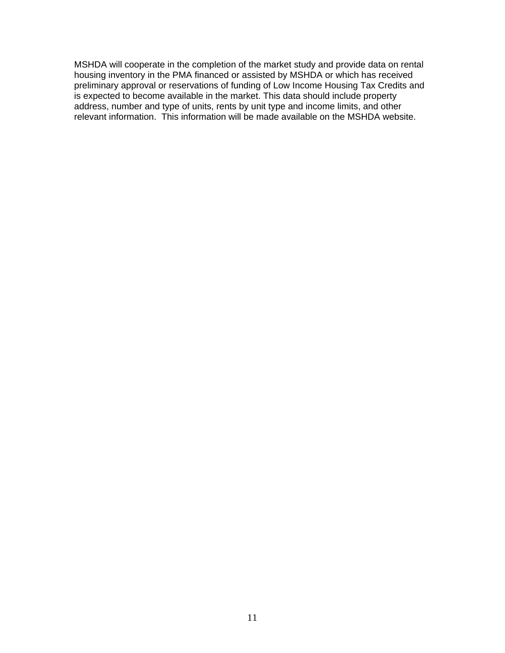MSHDA will cooperate in the completion of the market study and provide data on rental housing inventory in the PMA financed or assisted by MSHDA or which has received preliminary approval or reservations of funding of Low Income Housing Tax Credits and is expected to become available in the market. This data should include property address, number and type of units, rents by unit type and income limits, and other relevant information. This information will be made available on the MSHDA website.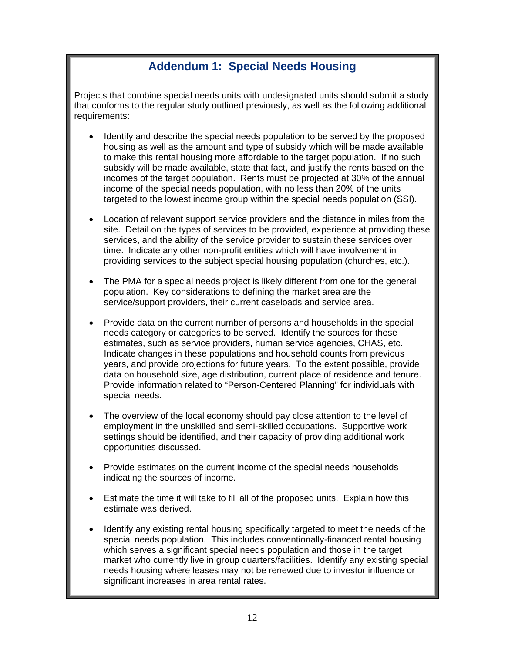## **Addendum 1: Special Needs Housing**

Projects that combine special needs units with undesignated units should submit a study that conforms to the regular study outlined previously, as well as the following additional requirements:

- Identify and describe the special needs population to be served by the proposed housing as well as the amount and type of subsidy which will be made available to make this rental housing more affordable to the target population. If no such subsidy will be made available, state that fact, and justify the rents based on the incomes of the target population. Rents must be projected at 30% of the annual income of the special needs population, with no less than 20% of the units targeted to the lowest income group within the special needs population (SSI).
- Location of relevant support service providers and the distance in miles from the site. Detail on the types of services to be provided, experience at providing these services, and the ability of the service provider to sustain these services over time. Indicate any other non-profit entities which will have involvement in providing services to the subject special housing population (churches, etc.).
- The PMA for a special needs project is likely different from one for the general population. Key considerations to defining the market area are the service/support providers, their current caseloads and service area.
- Provide data on the current number of persons and households in the special needs category or categories to be served. Identify the sources for these estimates, such as service providers, human service agencies, CHAS, etc. Indicate changes in these populations and household counts from previous years, and provide projections for future years. To the extent possible, provide data on household size, age distribution, current place of residence and tenure. Provide information related to "Person-Centered Planning" for individuals with special needs.
- The overview of the local economy should pay close attention to the level of employment in the unskilled and semi-skilled occupations. Supportive work settings should be identified, and their capacity of providing additional work opportunities discussed.
- Provide estimates on the current income of the special needs households indicating the sources of income.
- Estimate the time it will take to fill all of the proposed units. Explain how this estimate was derived.
- Identify any existing rental housing specifically targeted to meet the needs of the special needs population. This includes conventionally-financed rental housing which serves a significant special needs population and those in the target market who currently live in group quarters/facilities. Identify any existing special needs housing where leases may not be renewed due to investor influence or significant increases in area rental rates.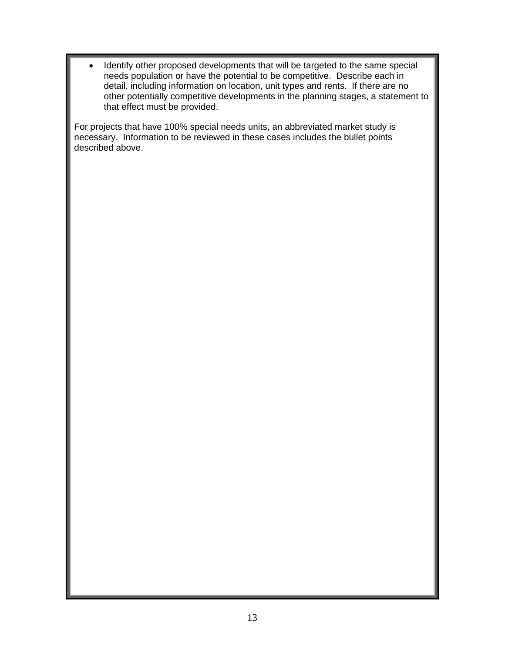Identify other proposed developments that will be targeted to the same special needs population or have the potential to be competitive. Describe each in detail, including information on location, unit types and rents. If there are no other potentially competitive developments in the planning stages, a statement to that effect must be provided.

For projects that have 100% special needs units, an abbreviated market study is necessary. Information to be reviewed in these cases includes the bullet points described above.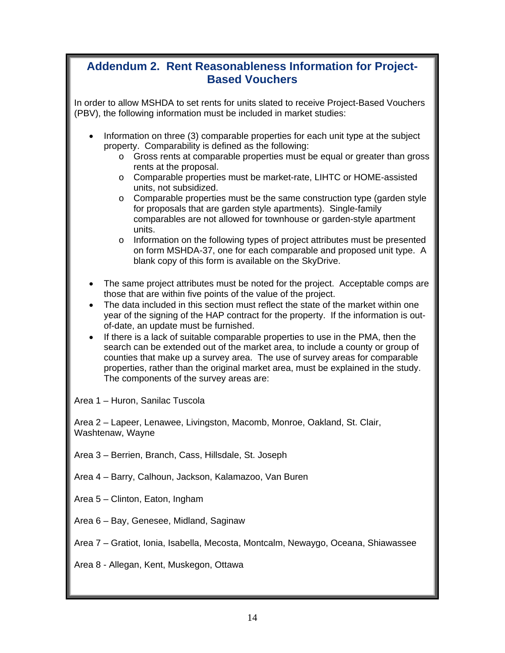### **Addendum 2. Rent Reasonableness Information for Project-Based Vouchers**

In order to allow MSHDA to set rents for units slated to receive Project-Based Vouchers (PBV), the following information must be included in market studies:

- Information on three (3) comparable properties for each unit type at the subject property. Comparability is defined as the following:
	- o Gross rents at comparable properties must be equal or greater than gross rents at the proposal.
	- o Comparable properties must be market-rate, LIHTC or HOME-assisted units, not subsidized.
	- o Comparable properties must be the same construction type (garden style for proposals that are garden style apartments). Single-family comparables are not allowed for townhouse or garden-style apartment units.
	- o Information on the following types of project attributes must be presented on form MSHDA-37, one for each comparable and proposed unit type. A blank copy of this form is available on the SkyDrive.
- The same project attributes must be noted for the project. Acceptable comps are those that are within five points of the value of the project.
- The data included in this section must reflect the state of the market within one year of the signing of the HAP contract for the property. If the information is outof-date, an update must be furnished.
- If there is a lack of suitable comparable properties to use in the PMA, then the search can be extended out of the market area, to include a county or group of counties that make up a survey area. The use of survey areas for comparable properties, rather than the original market area, must be explained in the study. The components of the survey areas are:

Area 1 – Huron, Sanilac Tuscola

Area 2 – Lapeer, Lenawee, Livingston, Macomb, Monroe, Oakland, St. Clair, Washtenaw, Wayne

- Area 3 Berrien, Branch, Cass, Hillsdale, St. Joseph
- Area 4 Barry, Calhoun, Jackson, Kalamazoo, Van Buren
- Area 5 Clinton, Eaton, Ingham
- Area 6 Bay, Genesee, Midland, Saginaw

Area 7 – Gratiot, Ionia, Isabella, Mecosta, Montcalm, Newaygo, Oceana, Shiawassee

Area 8 - Allegan, Kent, Muskegon, Ottawa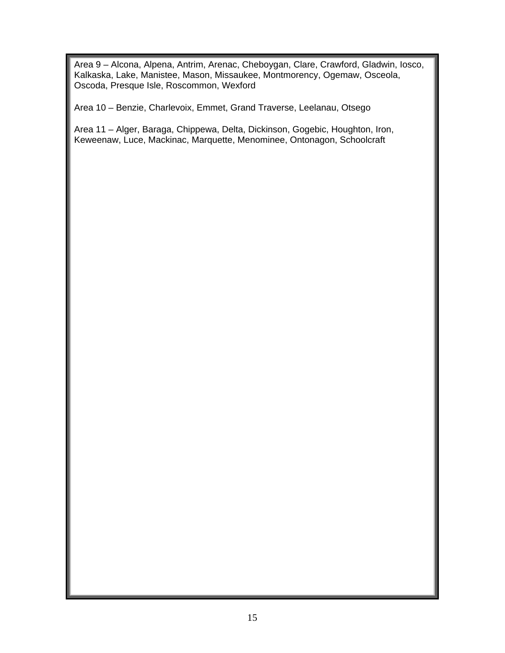Area 9 – Alcona, Alpena, Antrim, Arenac, Cheboygan, Clare, Crawford, Gladwin, Iosco, Kalkaska, Lake, Manistee, Mason, Missaukee, Montmorency, Ogemaw, Osceola, Oscoda, Presque Isle, Roscommon, Wexford

Area 10 – Benzie, Charlevoix, Emmet, Grand Traverse, Leelanau, Otsego

Area 11 – Alger, Baraga, Chippewa, Delta, Dickinson, Gogebic, Houghton, Iron, Keweenaw, Luce, Mackinac, Marquette, Menominee, Ontonagon, Schoolcraft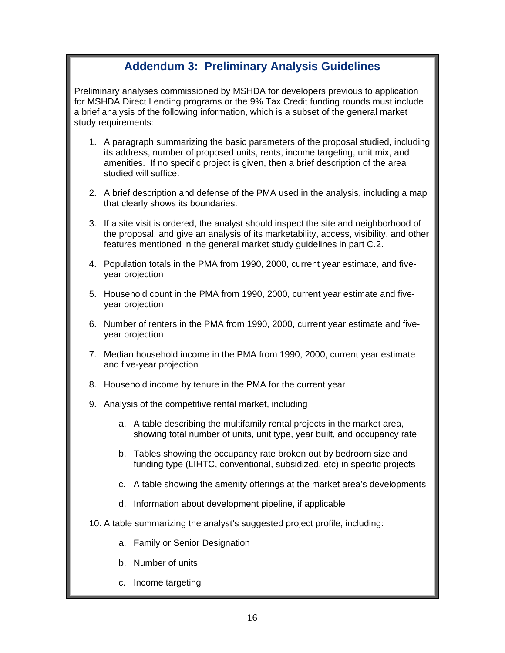### **Addendum 3: Preliminary Analysis Guidelines**

Preliminary analyses commissioned by MSHDA for developers previous to application for MSHDA Direct Lending programs or the 9% Tax Credit funding rounds must include a brief analysis of the following information, which is a subset of the general market study requirements:

- 1. A paragraph summarizing the basic parameters of the proposal studied, including its address, number of proposed units, rents, income targeting, unit mix, and amenities. If no specific project is given, then a brief description of the area studied will suffice.
- 2. A brief description and defense of the PMA used in the analysis, including a map that clearly shows its boundaries.
- 3. If a site visit is ordered, the analyst should inspect the site and neighborhood of the proposal, and give an analysis of its marketability, access, visibility, and other features mentioned in the general market study guidelines in part C.2.
- 4. Population totals in the PMA from 1990, 2000, current year estimate, and fiveyear projection
- 5. Household count in the PMA from 1990, 2000, current year estimate and fiveyear projection
- 6. Number of renters in the PMA from 1990, 2000, current year estimate and fiveyear projection
- 7. Median household income in the PMA from 1990, 2000, current year estimate and five-year projection
- 8. Household income by tenure in the PMA for the current year
- 9. Analysis of the competitive rental market, including
	- a. A table describing the multifamily rental projects in the market area, showing total number of units, unit type, year built, and occupancy rate
	- b. Tables showing the occupancy rate broken out by bedroom size and funding type (LIHTC, conventional, subsidized, etc) in specific projects
	- c. A table showing the amenity offerings at the market area's developments
	- d. Information about development pipeline, if applicable
- 10. A table summarizing the analyst's suggested project profile, including:
	- a. Family or Senior Designation
	- b. Number of units
	- c. Income targeting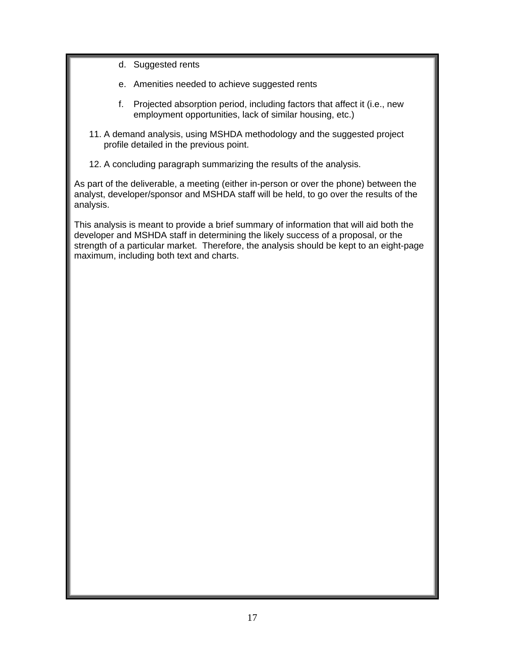- d. Suggested rents
- e. Amenities needed to achieve suggested rents
- f. Projected absorption period, including factors that affect it (i.e., new employment opportunities, lack of similar housing, etc.)
- 11. A demand analysis, using MSHDA methodology and the suggested project profile detailed in the previous point.
- 12. A concluding paragraph summarizing the results of the analysis.

As part of the deliverable, a meeting (either in-person or over the phone) between the analyst, developer/sponsor and MSHDA staff will be held, to go over the results of the analysis.

This analysis is meant to provide a brief summary of information that will aid both the developer and MSHDA staff in determining the likely success of a proposal, or the strength of a particular market. Therefore, the analysis should be kept to an eight-page maximum, including both text and charts.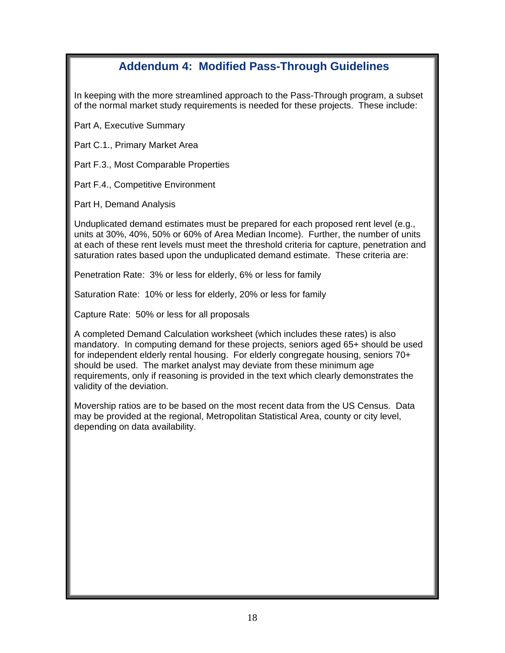## **Addendum 4: Modified Pass-Through Guidelines**

In keeping with the more streamlined approach to the Pass-Through program, a subset of the normal market study requirements is needed for these projects. These include:

Part A, Executive Summary

Part C.1., Primary Market Area

Part F.3., Most Comparable Properties

Part F.4., Competitive Environment

Part H, Demand Analysis

Unduplicated demand estimates must be prepared for each proposed rent level (e.g., units at 30%, 40%, 50% or 60% of Area Median Income). Further, the number of units at each of these rent levels must meet the threshold criteria for capture, penetration and saturation rates based upon the unduplicated demand estimate. These criteria are:

Penetration Rate: 3% or less for elderly, 6% or less for family

Saturation Rate: 10% or less for elderly, 20% or less for family

Capture Rate: 50% or less for all proposals

A completed Demand Calculation worksheet (which includes these rates) is also mandatory. In computing demand for these projects, seniors aged 65+ should be used for independent elderly rental housing. For elderly congregate housing, seniors 70+ should be used. The market analyst may deviate from these minimum age requirements, only if reasoning is provided in the text which clearly demonstrates the validity of the deviation.

Movership ratios are to be based on the most recent data from the US Census. Data may be provided at the regional, Metropolitan Statistical Area, county or city level, depending on data availability.